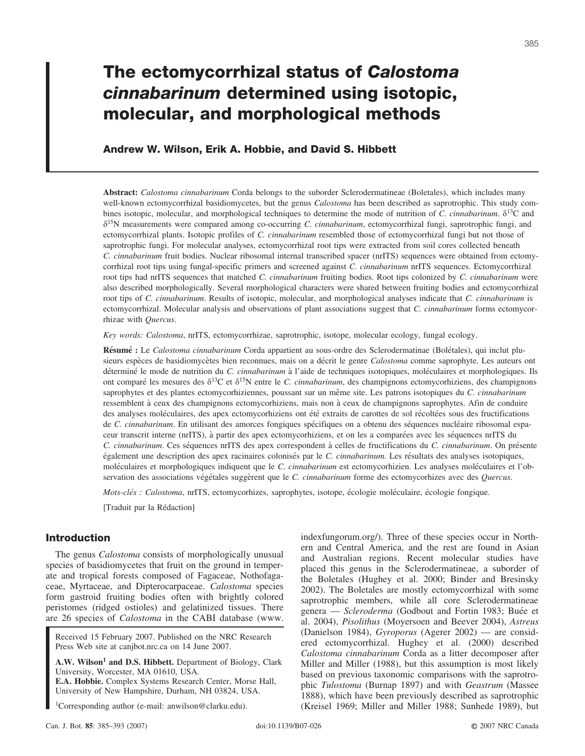# **The ectomycorrhizal status of** *Calostoma cinnabarinum* **determined using isotopic, molecular, and morphological methods**

# **Andrew W. Wilson, Erik A. Hobbie, and David S. Hibbett**

**Abstract:** *Calostoma cinnabarinum* Corda belongs to the suborder Sclerodermatineae (Boletales), which includes many well-known ectomycorrhizal basidiomycetes, but the genus *Calostoma* has been described as saprotrophic. This study combines isotopic, molecular, and morphological techniques to determine the mode of nutrition of *C. cinnabarinum*. d13C and d15N measurements were compared among co-occurring *C. cinnabarinum*, ectomycorrhizal fungi, saprotrophic fungi, and ectomycorrhizal plants. Isotopic profiles of *C. cinnabarinum* resembled those of ectomycorrhizal fungi but not those of saprotrophic fungi. For molecular analyses, ectomycorrhizal root tips were extracted from soil cores collected beneath *C. cinnabarinum* fruit bodies. Nuclear ribosomal internal transcribed spacer (nrITS) sequences were obtained from ectomycorrhizal root tips using fungal-specific primers and screened against *C. cinnabarinum* nrITS sequences. Ectomycorrhizal root tips had nrITS sequences that matched *C. cinnabarinum* fruiting bodies. Root tips colonized by *C. cinnabarinum* were also described morphologically. Several morphological characters were shared between fruiting bodies and ectomycorrhizal root tips of *C. cinnabarinum*. Results of isotopic, molecular, and morphological analyses indicate that *C. cinnabarinum* is ectomycorrhizal. Molecular analysis and observations of plant associations suggest that *C. cinnabarinum* forms ectomycorrhizae with *Quercus*.

*Key words: Calostoma*, nrITS, ectomycorrhizae, saprotrophic, isotope, molecular ecology, fungal ecology.

**Résumé** : Le *Calostoma cinnabarinum* Corda appartient au sous-ordre des Sclerodermatinae (Bolétales), qui inclut plusieurs espèces de basidiomycètes bien reconnues, mais on a décrit le genre *Calostoma* comme saprophyte. Les auteurs ont déterminé le mode de nutrition du *C. cinnabarinum* à l'aide de techniques isotopiques, moléculaires et morphologiques. Ils ont comparé les mesures des  $\delta^{13}C$  et  $\delta^{15}N$  entre le *C. cinnabarinum*, des champignons ectomycorhiziens, des champignons saprophytes et des plantes ectomycorhiziennes, poussant sur un même site. Les patrons isotopiques du *C. cinnabarinum* ressemblent à ceux des champignons ectomycorhiziens, mais non à ceux de champignons saprophytes. Afin de conduire des analyses moléculaires, des apex ectomycorhiziens ont été extraits de carottes de sol récoltées sous des fructifications de *C. cinnabarinum*. En utilisant des amorces fongiques spécifiques on a obtenu des séquences nucléaire ribosomal espaceur transcrit interne (nrITS), à partir des apex ectomycorhiziens, et on les a comparées avec les séquences nrITS du *C. cinnabarinum*. Ces séquences nrITS des apex correspondent à celles de fructifications du *C. cinnabarinum*. On présente également une description des apex racinaires colonisés par le *C. cinnabarinum*. Les résultats des analyses isotopiques, moléculaires et morphologiques indiquent que le *C. cinnabarinum* est ectomycorhizien. Les analyses moléculaires et l'observation des associations végétales suggèrent que le *C. cinnabarinum* forme des ectomycorhizes avec des *Quercus*.

*Mots-clés : Calostoma*, nrITS, ectomycorhizes, saprophytes, isotope, écologie moléculaire, écologie fongique.

[Traduit par la Rédaction]

## **Introduction**

The genus *Calostoma* consists of morphologically unusual species of basidiomycetes that fruit on the ground in temperate and tropical forests composed of Fagaceae, Nothofagaceae, Myrtaceae, and Dipterocarpaceae. *Calostoma* species form gastroid fruiting bodies often with brightly colored peristomes (ridged ostioles) and gelatinized tissues. There are 26 species of *Calostoma* in the CABI database (www.

Received 15 February 2007. Published on the NRC Research Press Web site at canjbot.nrc.ca on 14 June 2007.

A.W. Wilson<sup>1</sup> and D.S. Hibbett. Department of Biology, Clark University, Worcester, MA 01610, USA.

**E.A. Hobbie.** Complex Systems Research Center, Morse Hall, University of New Hampshire, Durham, NH 03824, USA.

1Corresponding author (e-mail: anwilson@clarku.edu).

indexfungorum.org/). Three of these species occur in Northern and Central America, and the rest are found in Asian and Australian regions. Recent molecular studies have placed this genus in the Sclerodermatineae, a suborder of the Boletales (Hughey et al. 2000; Binder and Bresinsky 2002). The Boletales are mostly ectomycorrhizal with some saprotrophic members, while all core Sclerodermatineae genera — *Scleroderma* (Godbout and Fortin 1983; Buée et al. 2004), *Pisolithus* (Moyersoen and Beever 2004), *Astreus* (Danielson 1984), *Gyroporus* (Agerer 2002) — are considered ectomycorrhizal. Hughey et al. (2000) described *Calostoma cinnabarinum* Corda as a litter decomposer after Miller and Miller (1988), but this assumption is most likely based on previous taxonomic comparisons with the saprotrophic *Tulostoma* (Burnap 1897) and with *Geastrum* (Massee 1888), which have been previously described as saprotrophic (Kreisel 1969; Miller and Miller 1988; Sunhede 1989), but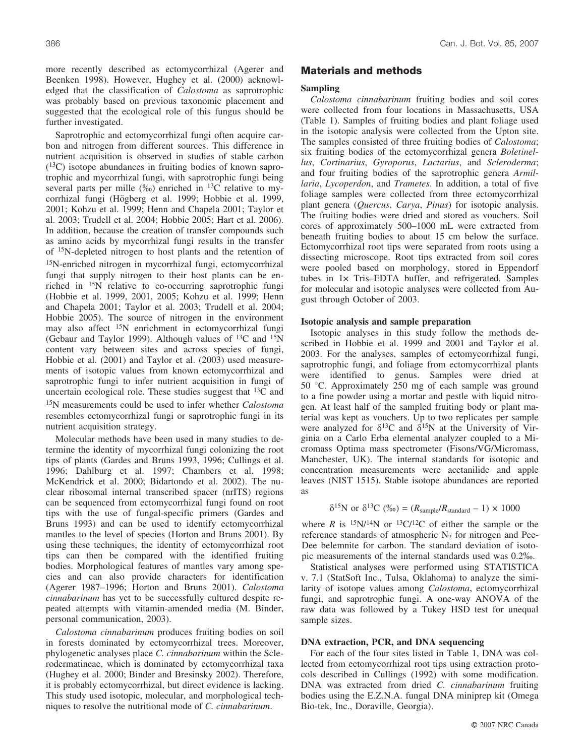more recently described as ectomycorrhizal (Agerer and Beenken 1998). However, Hughey et al. (2000) acknowledged that the classification of *Calostoma* as saprotrophic was probably based on previous taxonomic placement and suggested that the ecological role of this fungus should be further investigated.

Saprotrophic and ectomycorrhizal fungi often acquire carbon and nitrogen from different sources. This difference in nutrient acquisition is observed in studies of stable carbon (13C) isotope abundances in fruiting bodies of known saprotrophic and mycorrhizal fungi, with saprotrophic fungi being several parts per mille  $(^{0}_{00})$  enriched in <sup>13</sup>C relative to mycorrhizal fungi (Högberg et al. 1999; Hobbie et al. 1999, 2001; Kohzu et al. 1999; Henn and Chapela 2001; Taylor et al. 2003; Trudell et al. 2004; Hobbie 2005; Hart et al. 2006). In addition, because the creation of transfer compounds such as amino acids by mycorrhizal fungi results in the transfer of 15N-depleted nitrogen to host plants and the retention of 15N-enriched nitrogen in mycorrhizal fungi, ectomycorrhizal fungi that supply nitrogen to their host plants can be enriched in 15N relative to co-occurring saprotrophic fungi (Hobbie et al. 1999, 2001, 2005; Kohzu et al. 1999; Henn and Chapela 2001; Taylor et al. 2003; Trudell et al. 2004; Hobbie 2005). The source of nitrogen in the environment may also affect 15N enrichment in ectomycorrhizal fungi (Gebaur and Taylor 1999). Although values of  $^{13}C$  and  $^{15}N$ content vary between sites and across species of fungi, Hobbie et al. (2001) and Taylor et al. (2003) used measurements of isotopic values from known ectomycorrhizal and saprotrophic fungi to infer nutrient acquisition in fungi of uncertain ecological role. These studies suggest that  $^{13}C$  and 15N measurements could be used to infer whether *Calostoma* resembles ectomycorrhizal fungi or saprotrophic fungi in its nutrient acquisition strategy.

Molecular methods have been used in many studies to determine the identity of mycorrhizal fungi colonizing the root tips of plants (Gardes and Bruns 1993, 1996; Cullings et al. 1996; Dahlburg et al. 1997; Chambers et al. 1998; McKendrick et al. 2000; Bidartondo et al. 2002). The nuclear ribosomal internal transcribed spacer (nrITS) regions can be sequenced from ectomycorrhizal fungi found on root tips with the use of fungal-specific primers (Gardes and Bruns 1993) and can be used to identify ectomycorrhizal mantles to the level of species (Horton and Bruns 2001). By using these techniques, the identity of ectomycorrhizal root tips can then be compared with the identified fruiting bodies. Morphological features of mantles vary among species and can also provide characters for identification (Agerer 1987–1996; Horton and Bruns 2001). *Calostoma cinnabarinum* has yet to be successfully cultured despite repeated attempts with vitamin-amended media (M. Binder, personal communication, 2003).

*Calostoma cinnabarinum* produces fruiting bodies on soil in forests dominated by ectomycorrhizal trees. Moreover, phylogenetic analyses place *C. cinnabarinum* within the Sclerodermatineae, which is dominated by ectomycorrhizal taxa (Hughey et al. 2000; Binder and Bresinsky 2002). Therefore, it is probably ectomycorrhizal, but direct evidence is lacking. This study used isotopic, molecular, and morphological techniques to resolve the nutritional mode of *C. cinnabarinum*.

## **Materials and methods**

## **Sampling**

*Calostoma cinnabarinum* fruiting bodies and soil cores were collected from four locations in Massachusetts, USA (Table 1). Samples of fruiting bodies and plant foliage used in the isotopic analysis were collected from the Upton site. The samples consisted of three fruiting bodies of *Calostoma*; six fruiting bodies of the ectomycorrhizal genera *Boletinellus*, *Cortinarius*, *Gyroporus*, *Lactarius*, and *Scleroderma*; and four fruiting bodies of the saprotrophic genera *Armillaria*, *Lycoperdon*, and *Trametes*. In addition, a total of five foliage samples were collected from three ectomycorrhizal plant genera (*Quercus*, *Carya*, *Pinus*) for isotopic analysis. The fruiting bodies were dried and stored as vouchers. Soil cores of approximately 500–1000 mL were extracted from beneath fruiting bodies to about 15 cm below the surface. Ectomycorrhizal root tips were separated from roots using a dissecting microscope. Root tips extracted from soil cores were pooled based on morphology, stored in Eppendorf tubes in 1x Tris–EDTA buffer, and refrigerated. Samples for molecular and isotopic analyses were collected from August through October of 2003.

#### **Isotopic analysis and sample preparation**

Isotopic analyses in this study follow the methods described in Hobbie et al. 1999 and 2001 and Taylor et al. 2003. For the analyses, samples of ectomycorrhizal fungi, saprotrophic fungi, and foliage from ectomycorrhizal plants were identified to genus. Samples were dried at 50  $\degree$ C. Approximately 250 mg of each sample was ground to a fine powder using a mortar and pestle with liquid nitrogen. At least half of the sampled fruiting body or plant material was kept as vouchers. Up to two replicates per sample were analyzed for  $\delta^{13}C$  and  $\delta^{15}N$  at the University of Virginia on a Carlo Erba elemental analyzer coupled to a Micromass Optima mass spectrometer (Fisons/VG/Micromass, Manchester, UK). The internal standards for isotopic and concentration measurements were acetanilide and apple leaves (NIST 1515). Stable isotope abundances are reported as

$$
\delta^{15} \text{N} \text{ or } \delta^{13} \text{C} \text{ } (\%_0) = (R_{\text{sample}}/R_{\text{standard}} - 1) \times 1000
$$

where *R* is  $^{15}N/^{14}N$  or  $^{13}C/^{12}C$  of either the sample or the reference standards of atmospheric  $N_2$  for nitrogen and Pee-Dee belemnite for carbon. The standard deviation of isotopic measurements of the internal standards used was 0.2%.

Statistical analyses were performed using STATISTICA v. 7.1 (StatSoft Inc., Tulsa, Oklahoma) to analyze the similarity of isotope values among *Calostoma*, ectomycorrhizal fungi, and saprotrophic fungi. A one-way ANOVA of the raw data was followed by a Tukey HSD test for unequal sample sizes.

#### **DNA extraction, PCR, and DNA sequencing**

For each of the four sites listed in Table 1, DNA was collected from ectomycorrhizal root tips using extraction protocols described in Cullings (1992) with some modification. DNA was extracted from dried *C. cinnabarinum* fruiting bodies using the E.Z.N.A. fungal DNA miniprep kit (Omega Bio-tek, Inc., Doraville, Georgia).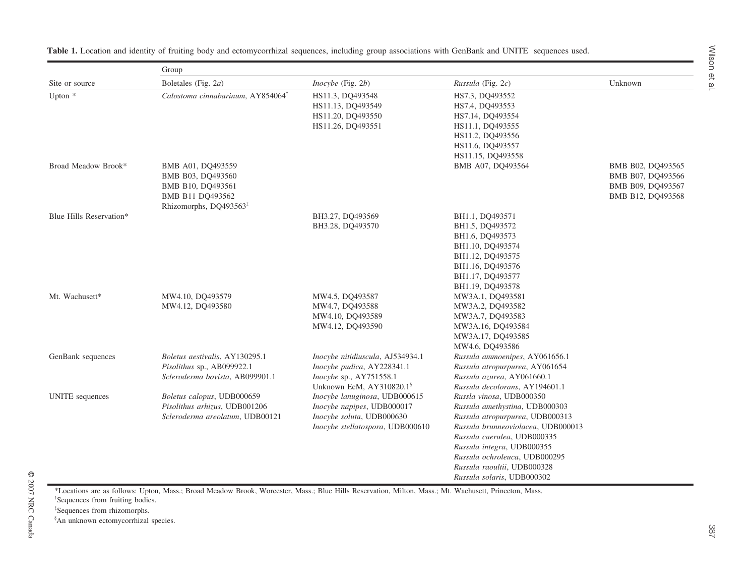| Site or source          | Boletales (Fig. 2a)                           | $Inocybe$ (Fig. 2b)              | <i>Russula</i> (Fig. $2c$ )                               | Unknown           |
|-------------------------|-----------------------------------------------|----------------------------------|-----------------------------------------------------------|-------------------|
| Upton $*$               | Calostoma cinnabarinum, AY854064 <sup>†</sup> | HS11.3, DQ493548                 | HS7.3, DO493552                                           |                   |
|                         |                                               | HS11.13, DQ493549                | HS7.4, DQ493553                                           |                   |
|                         |                                               | HS11.20, DQ493550                | HS7.14, DQ493554                                          |                   |
|                         |                                               | HS11.26, DQ493551                | HS11.1, DQ493555                                          |                   |
|                         |                                               |                                  | HS11.2, DQ493556                                          |                   |
|                         |                                               |                                  | HS11.6, DQ493557                                          |                   |
|                         |                                               |                                  | HS11.15, DQ493558                                         |                   |
| Broad Meadow Brook*     | BMB A01, DQ493559                             |                                  | BMB A07, DQ493564                                         | BMB B02, DQ493565 |
|                         | BMB B03, DO493560                             |                                  |                                                           | BMB B07, DO493566 |
|                         | BMB B10, DQ493561                             |                                  |                                                           | BMB B09, DQ493567 |
|                         | BMB B11 DQ493562                              |                                  |                                                           | BMB B12, DQ493568 |
|                         | Rhizomorphs, DQ493563 <sup>‡</sup>            |                                  |                                                           |                   |
| Blue Hills Reservation* |                                               | BH3.27, DQ493569                 | BH1.1, DQ493571                                           |                   |
|                         |                                               | BH3.28, DO493570                 | BH1.5, DQ493572                                           |                   |
|                         |                                               |                                  | BH1.6, DQ493573                                           |                   |
|                         |                                               |                                  | BH1.10, DQ493574                                          |                   |
|                         |                                               |                                  | BH1.12, DQ493575                                          |                   |
|                         |                                               |                                  | BH1.16, DQ493576                                          |                   |
|                         |                                               |                                  | BH1.17, DQ493577                                          |                   |
|                         |                                               |                                  | BH1.19, DQ493578                                          |                   |
| Mt. Wachusett*          | MW4.10, DQ493579                              | MW4.5, DQ493587                  | MW3A.1, DQ493581                                          |                   |
|                         | MW4.12, DQ493580                              | MW4.7, DQ493588                  | MW3A.2, DQ493582                                          |                   |
|                         |                                               | MW4.10, DQ493589                 | MW3A.7, DQ493583                                          |                   |
|                         |                                               | MW4.12, DQ493590                 | MW3A.16, DQ493584                                         |                   |
|                         |                                               |                                  | MW3A.17, DQ493585                                         |                   |
|                         |                                               |                                  | MW4.6, DQ493586                                           |                   |
|                         | Boletus aestivalis, AY130295.1                | Inocybe nitidiuscula, AJ534934.1 | Russula ammoenipes, AY061656.1                            |                   |
| GenBank sequences       |                                               |                                  |                                                           |                   |
|                         | Pisolithus sp., AB099922.1                    | Inocybe pudica, AY228341.1       | Russula atropurpurea, AY061654                            |                   |
|                         | Scleroderma bovista, AB099901.1               | Inocybe sp., AY751558.1          | Russula azurea, AY061660.1                                |                   |
|                         |                                               | Unknown EcM, AY310820.18         | Russula decolorans, AY194601.1                            |                   |
| <b>UNITE</b> sequences  | Boletus calopus, UDB000659                    | Inocybe lanuginosa, UDB000615    | Russla vinosa, UDB000350                                  |                   |
|                         | Pisolithus arhizus, UDB001206                 | Inocybe napipes, UDB000017       | Russula amethystina, UDB000303                            |                   |
|                         | Scleroderma areolatum, UDB00121               | Inocybe soluta, UDB000630        | Russula atropurpurea, UDB000313                           |                   |
|                         |                                               | Inocybe stellatospora, UDB000610 | Russula brunneoviolacea, UDB000013                        |                   |
|                         |                                               |                                  | Russula caerulea, UDB000335                               |                   |
|                         |                                               |                                  | Russula integra, UDB000355                                |                   |
|                         |                                               |                                  | Russula ochroleuca, UDB000295                             |                   |
|                         |                                               |                                  | Russula raoultii, UDB000328<br>Russula solaris, UDB000302 |                   |
|                         |                                               |                                  |                                                           |                   |

**Table 1.** Location and identity of fruiting body and ectomycorrhizal sequences, including group associations with GenBank and UNITE sequences used.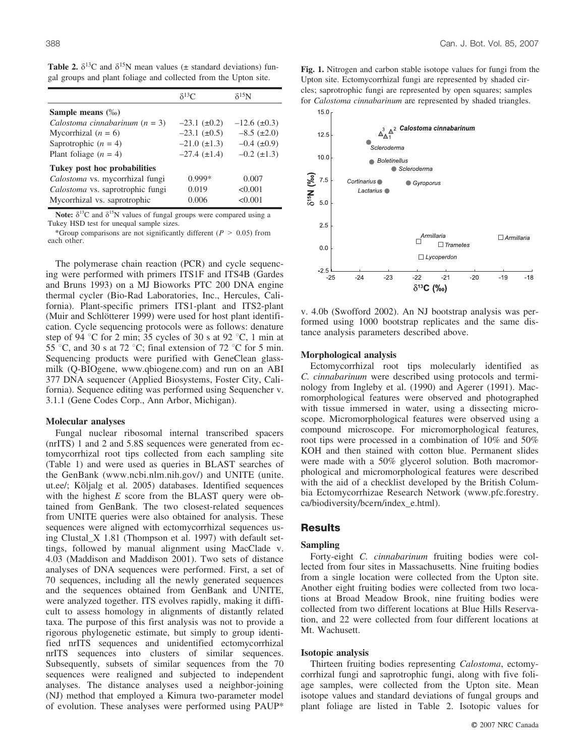|                                  | $8^{13}C$            | $\delta^{15}$ N      |  |  |
|----------------------------------|----------------------|----------------------|--|--|
| Sample means $(\%_0)$            |                      |                      |  |  |
| Calostoma cinnabarinum $(n = 3)$ | $-23.1$ ( $\pm$ 0.2) | $-12.6 \ (\pm 0.3)$  |  |  |
| Mycorrhizal $(n = 6)$            | $-23.1$ ( $\pm$ 0.5) | $-8.5$ ( $\pm 2.0$ ) |  |  |
| Saprotrophic $(n = 4)$           | $-21.0 (\pm 1.3)$    | $-0.4$ ( $\pm 0.9$ ) |  |  |
| Plant foliage $(n = 4)$          | $-27.4~(\pm 1.4)$    | $-0.2$ ( $\pm$ 1.3)  |  |  |
| Tukey post hoc probabilities     |                      |                      |  |  |
| Calostoma vs. mycorrhizal fungi  | $0.999*$             | 0.007                |  |  |
| Calostoma vs. saprotrophic fungi | 0.019                | < 0.001              |  |  |
| Mycorrhizal vs. saprotrophic     | 0.006                | < 0.001              |  |  |

**Table 2.**  $\delta^{13}C$  and  $\delta^{15}N$  mean values ( $\pm$  standard deviations) fungal groups and plant foliage and collected from the Upton site.

**Note:**  $\delta^{13}C$  and  $\delta^{15}N$  values of fungal groups were compared using a Tukey HSD test for unequal sample sizes.

\*Group comparisons are not significantly different (*P* > 0.05) from each other.

The polymerase chain reaction (PCR) and cycle sequencing were performed with primers ITS1F and ITS4B (Gardes and Bruns 1993) on a MJ Bioworks PTC 200 DNA engine thermal cycler (Bio-Rad Laboratories, Inc., Hercules, California). Plant-specific primers ITS1-plant and ITS2-plant (Muir and Schlötterer 1999) were used for host plant identification. Cycle sequencing protocols were as follows: denature step of 94  $\degree$ C for 2 min; 35 cycles of 30 s at 92  $\degree$ C, 1 min at 55 °C, and 30 s at 72 °C; final extension of 72 °C for 5 min. Sequencing products were purified with GeneClean glassmilk (Q-BIOgene, www.qbiogene.com) and run on an ABI 377 DNA sequencer (Applied Biosystems, Foster City, California). Sequence editing was performed using Sequencher v. 3.1.1 (Gene Codes Corp., Ann Arbor, Michigan).

#### **Molecular analyses**

Fungal nuclear ribosomal internal transcribed spacers (nrITS) 1 and 2 and 5.8S sequences were generated from ectomycorrhizal root tips collected from each sampling site (Table 1) and were used as queries in BLAST searches of the GenBank (www.ncbi.nlm.nih.gov/) and UNITE (unite. ut.ee/; Kõljalg et al. 2005) databases. Identified sequences with the highest *E* score from the BLAST query were obtained from GenBank. The two closest-related sequences from UNITE queries were also obtained for analysis. These sequences were aligned with ectomycorrhizal sequences using Clustal\_X 1.81 (Thompson et al. 1997) with default settings, followed by manual alignment using MacClade v. 4.03 (Maddison and Maddison 2001). Two sets of distance analyses of DNA sequences were performed. First, a set of 70 sequences, including all the newly generated sequences and the sequences obtained from GenBank and UNITE, were analyzed together. ITS evolves rapidly, making it difficult to assess homology in alignments of distantly related taxa. The purpose of this first analysis was not to provide a rigorous phylogenetic estimate, but simply to group identified nrITS sequences and unidentified ectomycorrhizal nrITS sequences into clusters of similar sequences. Subsequently, subsets of similar sequences from the 70 sequences were realigned and subjected to independent analyses. The distance analyses used a neighbor-joining (NJ) method that employed a Kimura two-parameter model of evolution. These analyses were performed using PAUP\*

**Fig. 1.** Nitrogen and carbon stable isotope values for fungi from the Upton site. Ectomycorrhizal fungi are represented by shaded circles; saprotrophic fungi are represented by open squares; samples for *Calostoma cinnabarinum* are represented by shaded triangles. 15.0



v. 4.0b (Swofford 2002). An NJ bootstrap analysis was performed using 1000 bootstrap replicates and the same distance analysis parameters described above.

#### **Morphological analysis**

Ectomycorrhizal root tips molecularly identified as *C. cinnabarinum* were described using protocols and terminology from Ingleby et al. (1990) and Agerer (1991). Macromorphological features were observed and photographed with tissue immersed in water, using a dissecting microscope. Micromorphological features were observed using a compound microscope. For micromorphological features, root tips were processed in a combination of 10% and 50% KOH and then stained with cotton blue. Permanent slides were made with a 50% glycerol solution. Both macromorphological and micromorphological features were described with the aid of a checklist developed by the British Columbia Ectomycorrhizae Research Network (www.pfc.forestry. ca/biodiversity/bcern/index\_e.html).

#### **Results**

#### **Sampling**

Forty-eight *C. cinnabarinum* fruiting bodies were collected from four sites in Massachusetts. Nine fruiting bodies from a single location were collected from the Upton site. Another eight fruiting bodies were collected from two locations at Broad Meadow Brook, nine fruiting bodies were collected from two different locations at Blue Hills Reservation, and 22 were collected from four different locations at Mt. Wachusett.

#### **Isotopic analysis**

Thirteen fruiting bodies representing *Calostoma*, ectomycorrhizal fungi and saprotrophic fungi, along with five foliage samples, were collected from the Upton site. Mean isotope values and standard deviations of fungal groups and plant foliage are listed in Table 2. Isotopic values for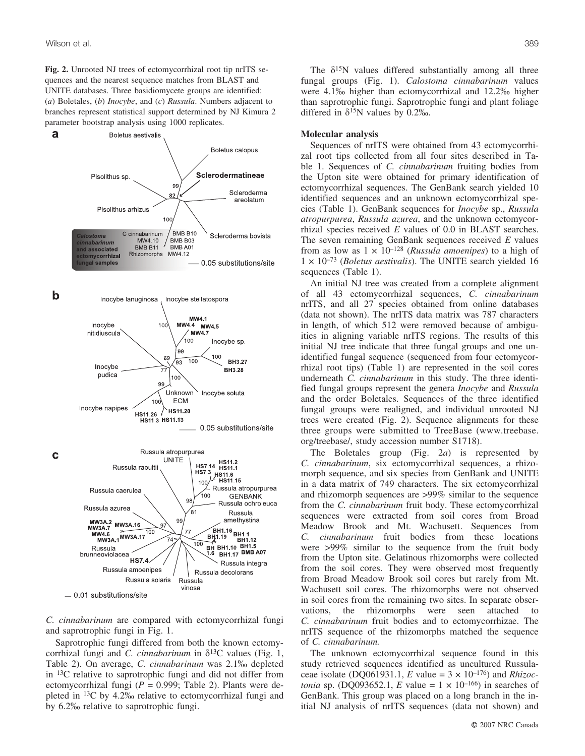**Fig. 2.** Unrooted NJ trees of ectomycorrhizal root tip nrITS sequences and the nearest sequence matches from BLAST and UNITE databases. Three basidiomycete groups are identified: (*a*) Boletales, (*b*) *Inocybe*, and (*c*) *Russula*. Numbers adjacent to branches represent statistical support determined by NJ Kimura 2 parameter bootstrap analysis using 1000 replicates.



*C. cinnabarinum* are compared with ectomycorrhizal fungi and saprotrophic fungi in Fig. 1.

Saprotrophic fungi differed from both the known ectomycorrhizal fungi and *C. cinnabarinum* in  $\delta^{13}$ C values (Fig. 1, Table 2). On average, *C. cinnabarinum* was 2.1% depleted in 13C relative to saprotrophic fungi and did not differ from ectomycorrhizal fungi (*P* = 0.999; Table 2). Plants were depleted in  $^{13}$ C by 4.2\% relative to ectomycorrhizal fungi and by 6.2% relative to saprotrophic fungi.

The  $\delta^{15}$ N values differed substantially among all three fungal groups (Fig. 1). *Calostoma cinnabarinum* values were 4.1% higher than ectomycorrhizal and 12.2% higher than saprotrophic fungi. Saprotrophic fungi and plant foliage differed in  $\delta^{15}N$  values by 0.2\%.

## **Molecular analysis**

Sequences of nrITS were obtained from 43 ectomycorrhizal root tips collected from all four sites described in Table 1. Sequences of *C. cinnabarinum* fruiting bodies from the Upton site were obtained for primary identification of ectomycorrhizal sequences. The GenBank search yielded 10 identified sequences and an unknown ectomycorrhizal species (Table 1). GenBank sequences for *Inocybe* sp., *Russula atropurpurea*, *Russula azurea*, and the unknown ectomycorrhizal species received *E* values of 0.0 in BLAST searches. The seven remaining GenBank sequences received *E* values from as low as  $1 \times 10^{-128}$  (*Russula amoenipes*) to a high of 1 × 10<sup>-73</sup> (*Boletus aestivalis*). The UNITE search yielded 16 sequences (Table 1).

An initial NJ tree was created from a complete alignment of all 43 ectomycorrhizal sequences, *C. cinnabarinum* nrITS, and all 27 species obtained from online databases (data not shown). The nrITS data matrix was 787 characters in length, of which 512 were removed because of ambiguities in aligning variable nrITS regions. The results of this initial NJ tree indicate that three fungal groups and one unidentified fungal sequence (sequenced from four ectomycorrhizal root tips) (Table 1) are represented in the soil cores underneath *C. cinnabarinum* in this study. The three identified fungal groups represent the genera *Inocybe* and *Russula* and the order Boletales. Sequences of the three identified fungal groups were realigned, and individual unrooted NJ trees were created (Fig. 2). Sequence alignments for these three groups were submitted to TreeBase (www.treebase. org/treebase/, study accession number S1718).

The Boletales group (Fig. 2*a*) is represented by *C. cinnabarinum*, six ectomycorrhizal sequences, a rhizomorph sequence, and six species from GenBank and UNITE in a data matrix of 749 characters. The six ectomycorrhizal and rhizomorph sequences are >99% similar to the sequence from the *C. cinnabarinum* fruit body. These ectomycorrhizal sequences were extracted from soil cores from Broad Meadow Brook and Mt. Wachusett. Sequences from *C. cinnabarinum* fruit bodies from these locations were >99% similar to the sequence from the fruit body from the Upton site. Gelatinous rhizomorphs were collected from the soil cores. They were observed most frequently from Broad Meadow Brook soil cores but rarely from Mt. Wachusett soil cores. The rhizomorphs were not observed in soil cores from the remaining two sites. In separate observations, the rhizomorphs were seen attached to *C. cinnabarinum* fruit bodies and to ectomycorrhizae. The nrITS sequence of the rhizomorphs matched the sequence of *C. cinnabarinum.*

The unknown ectomycorrhizal sequence found in this study retrieved sequences identified as uncultured Russulaceae isolate (DQ061931.1, *E* value =  $3 \times 10^{-176}$ ) and *Rhizoctonia* sp. (DQ093652.1, *E* value =  $1 \times 10^{-166}$ ) in searches of GenBank. This group was placed on a long branch in the initial NJ analysis of nrITS sequences (data not shown) and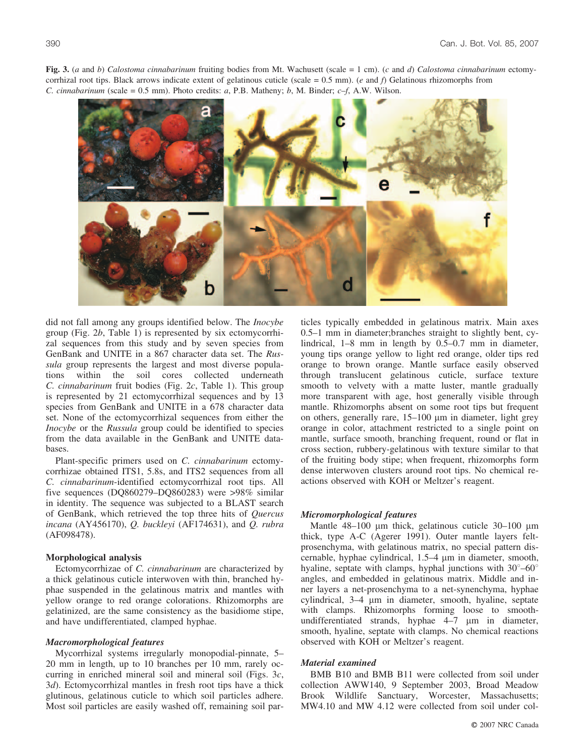

did not fall among any groups identified below. The *Inocybe* group (Fig. 2*b*, Table 1) is represented by six ectomycorrhizal sequences from this study and by seven species from GenBank and UNITE in a 867 character data set. The *Russula* group represents the largest and most diverse populations within the soil cores collected underneath *C. cinnabarinum* fruit bodies (Fig. 2*c*, Table 1). This group is represented by 21 ectomycorrhizal sequences and by 13 species from GenBank and UNITE in a 678 character data set. None of the ectomycorrhizal sequences from either the *Inocybe* or the *Russula* group could be identified to species from the data available in the GenBank and UNITE databases.

Plant-specific primers used on *C. cinnabarinum* ectomycorrhizae obtained ITS1, 5.8s, and ITS2 sequences from all *C. cinnabarinum*-identified ectomycorrhizal root tips. All five sequences (DQ860279–DQ860283) were >98% similar in identity. The sequence was subjected to a BLAST search of GenBank, which retrieved the top three hits of *Quercus incana* (AY456170), *Q. buckleyi* (AF174631), and *Q. rubra* (AF098478).

#### **Morphological analysis**

Ectomycorrhizae of *C. cinnabarinum* are characterized by a thick gelatinous cuticle interwoven with thin, branched hyphae suspended in the gelatinous matrix and mantles with yellow orange to red orange colorations. Rhizomorphs are gelatinized, are the same consistency as the basidiome stipe, and have undifferentiated, clamped hyphae.

#### *Macromorphological features*

Mycorrhizal systems irregularly monopodial-pinnate, 5– 20 mm in length, up to 10 branches per 10 mm, rarely occurring in enriched mineral soil and mineral soil (Figs. 3*c*, 3*d*). Ectomycorrhizal mantles in fresh root tips have a thick glutinous, gelatinous cuticle to which soil particles adhere. Most soil particles are easily washed off, remaining soil particles typically embedded in gelatinous matrix. Main axes 0.5–1 mm in diameter;branches straight to slightly bent, cylindrical, 1–8 mm in length by 0.5–0.7 mm in diameter, young tips orange yellow to light red orange, older tips red orange to brown orange. Mantle surface easily observed through translucent gelatinous cuticle, surface texture smooth to velvety with a matte luster, mantle gradually more transparent with age, host generally visible through mantle. Rhizomorphs absent on some root tips but frequent on others, generally rare,  $15-100 \mu m$  in diameter, light grey orange in color, attachment restricted to a single point on mantle, surface smooth, branching frequent, round or flat in cross section, rubbery-gelatinous with texture similar to that of the fruiting body stipe; when frequent, rhizomorphs form dense interwoven clusters around root tips. No chemical reactions observed with KOH or Meltzer's reagent.

#### *Micromorphological features*

Mantle  $48-100 \mu m$  thick, gelatinous cuticle  $30-100 \mu m$ thick, type A-C (Agerer 1991). Outer mantle layers feltprosenchyma, with gelatinous matrix, no special pattern discernable, hyphae cylindrical, 1.5–4 µm in diameter, smooth, hyaline, septate with clamps, hyphal junctions with  $30^{\circ}$ –60° angles, and embedded in gelatinous matrix. Middle and inner layers a net-prosenchyma to a net-synenchyma, hyphae cylindrical, 3–4  $\mu$ m in diameter, smooth, hyaline, septate with clamps. Rhizomorphs forming loose to smoothundifferentiated strands, hyphae  $4-7$   $\mu$ m in diameter, smooth, hyaline, septate with clamps. No chemical reactions observed with KOH or Meltzer's reagent.

#### *Material examined*

BMB B10 and BMB B11 were collected from soil under collection AWW140, 9 September 2003, Broad Meadow Brook Wildlife Sanctuary, Worcester, Massachusetts; MW4.10 and MW 4.12 were collected from soil under col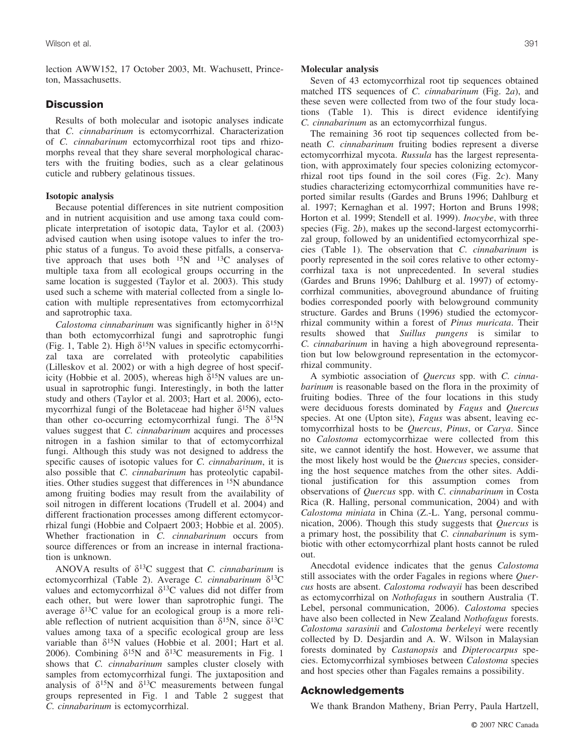lection AWW152, 17 October 2003, Mt. Wachusett, Princeton, Massachusetts.

# **Discussion**

Results of both molecular and isotopic analyses indicate that *C. cinnabarinum* is ectomycorrhizal. Characterization of *C. cinnabarinum* ectomycorrhizal root tips and rhizomorphs reveal that they share several morphological characters with the fruiting bodies, such as a clear gelatinous cuticle and rubbery gelatinous tissues.

## **Isotopic analysis**

Because potential differences in site nutrient composition and in nutrient acquisition and use among taxa could complicate interpretation of isotopic data, Taylor et al. (2003) advised caution when using isotope values to infer the trophic status of a fungus. To avoid these pitfalls, a conservative approach that uses both 15N and 13C analyses of multiple taxa from all ecological groups occurring in the same location is suggested (Taylor et al. 2003). This study used such a scheme with material collected from a single location with multiple representatives from ectomycorrhizal and saprotrophic taxa.

*Calostoma cinnabarinum* was significantly higher in  $\delta^{15}N$ than both ectomycorrhizal fungi and saprotrophic fungi (Fig. 1, Table 2). High  $\delta^{15}N$  values in specific ectomycorrhizal taxa are correlated with proteolytic capabilities (Lilleskov et al. 2002) or with a high degree of host specificity (Hobbie et al. 2005), whereas high  $\delta^{15}N$  values are unusual in saprotrophic fungi. Interestingly, in both the latter study and others (Taylor et al. 2003; Hart et al. 2006), ectomycorrhizal fungi of the Boletaceae had higher  $\delta^{15}N$  values than other co-occurring ectomycorrhizal fungi. The  $\delta^{15}N$ values suggest that *C. cinnabarinum* acquires and processes nitrogen in a fashion similar to that of ectomycorrhizal fungi. Although this study was not designed to address the specific causes of isotopic values for *C. cinnabarinum*, it is also possible that *C. cinnabarinum* has proteolytic capabilities. Other studies suggest that differences in 15N abundance among fruiting bodies may result from the availability of soil nitrogen in different locations (Trudell et al. 2004) and different fractionation processes among different ectomycorrhizal fungi (Hobbie and Colpaert 2003; Hobbie et al. 2005). Whether fractionation in *C. cinnabarinum* occurs from source differences or from an increase in internal fractionation is unknown.

ANOVA results of  $\delta^{13}C$  suggest that *C. cinnabarinum* is ectomycorrhizal (Table 2). Average *C. cinnabarinum* δ<sup>13</sup>C values and ectomycorrhizal  $\delta^{13}C$  values did not differ from each other, but were lower than saprotrophic fungi. The average  $\delta^{13}C$  value for an ecological group is a more reliable reflection of nutrient acquisition than  $\delta^{15}N$ , since  $\delta^{13}C$ values among taxa of a specific ecological group are less variable than  $\delta^{15}N$  values (Hobbie et al. 2001; Hart et al. 2006). Combining  $\delta^{15}N$  and  $\delta^{13}C$  measurements in Fig. 1 shows that *C. cinnabarinum* samples cluster closely with samples from ectomycorrhizal fungi. The juxtaposition and analysis of  $\delta^{15}N$  and  $\delta^{13}C$  measurements between fungal groups represented in Fig. 1 and Table 2 suggest that *C. cinnabarinum* is ectomycorrhizal.

## **Molecular analysis**

Seven of 43 ectomycorrhizal root tip sequences obtained matched ITS sequences of *C. cinnabarinum* (Fig. 2*a*), and these seven were collected from two of the four study locations (Table 1). This is direct evidence identifying *C. cinnabarinum* as an ectomycorrhizal fungus.

The remaining 36 root tip sequences collected from beneath *C. cinnabarinum* fruiting bodies represent a diverse ectomycorrhizal mycota. *Russula* has the largest representation, with approximately four species colonizing ectomycorrhizal root tips found in the soil cores (Fig. 2*c*). Many studies characterizing ectomycorrhizal communities have reported similar results (Gardes and Bruns 1996; Dahlburg et al. 1997; Kernaghan et al. 1997; Horton and Bruns 1998; Horton et al. 1999; Stendell et al. 1999). *Inocybe*, with three species (Fig. 2*b*), makes up the second-largest ectomycorrhizal group, followed by an unidentified ectomycorrhizal species (Table 1). The observation that *C. cinnabarinum* is poorly represented in the soil cores relative to other ectomycorrhizal taxa is not unprecedented. In several studies (Gardes and Bruns 1996; Dahlburg et al. 1997) of ectomycorrhizal communities, aboveground abundance of fruiting bodies corresponded poorly with belowground community structure. Gardes and Bruns (1996) studied the ectomycorrhizal community within a forest of *Pinus muricata*. Their results showed that *Suillus pungens* is similar to *C. cinnabarinum* in having a high aboveground representation but low belowground representation in the ectomycorrhizal community.

A symbiotic association of *Quercus* spp. with *C. cinnabarinum* is reasonable based on the flora in the proximity of fruiting bodies. Three of the four locations in this study were deciduous forests dominated by *Fagus* and *Quercus* species. At one (Upton site), *Fagus* was absent, leaving ectomycorrhizal hosts to be *Quercus*, *Pinus*, or *Carya*. Since no *Calostoma* ectomycorrhizae were collected from this site, we cannot identify the host. However, we assume that the most likely host would be the *Quercus* species, considering the host sequence matches from the other sites. Additional justification for this assumption comes from observations of *Quercus* spp. with *C. cinnabarinum* in Costa Rica (R. Halling, personal communication, 2004) and with *Calostoma miniata* in China (Z.-L. Yang, personal communication, 2006). Though this study suggests that *Quercus* is a primary host, the possibility that *C. cinnabarinum* is symbiotic with other ectomycorrhizal plant hosts cannot be ruled out.

Anecdotal evidence indicates that the genus *Calostoma* still associates with the order Fagales in regions where *Quercus* hosts are absent. *Calostoma rodwayii* has been described as ectomycorrhizal on *Nothofagus* in southern Australia (T. Lebel, personal communication, 2006). *Calostoma* species have also been collected in New Zealand *Nothofagus* forests. *Calostoma sarasinii* and *Calostoma berkeleyi* were recently collected by D. Desjardin and A. W. Wilson in Malaysian forests dominated by *Castanopsis* and *Dipterocarpus* species. Ectomycorrhizal symbioses between *Calostoma* species and host species other than Fagales remains a possibility.

# **Acknowledgements**

We thank Brandon Matheny, Brian Perry, Paula Hartzell,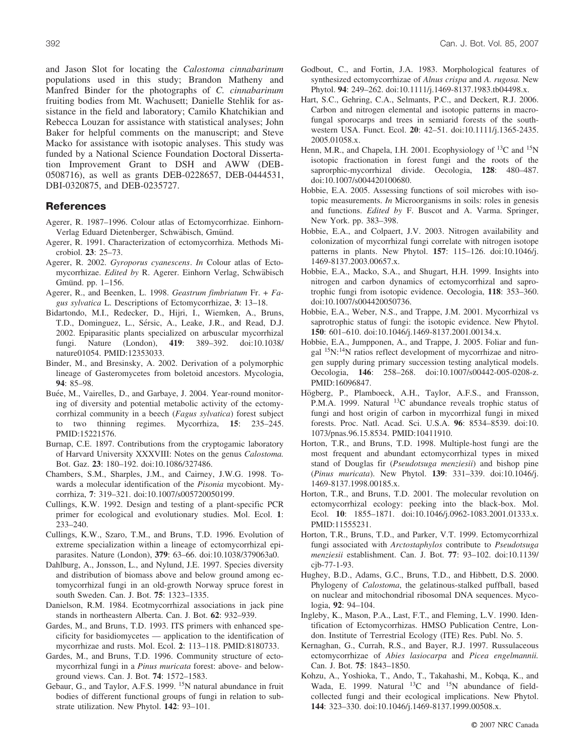and Jason Slot for locating the *Calostoma cinnabarinum* populations used in this study; Brandon Matheny and Manfred Binder for the photographs of *C. cinnabarinum* fruiting bodies from Mt. Wachusett; Danielle Stehlik for assistance in the field and laboratory; Camilo Khatchikian and Rebecca Louzan for assistance with statistical analyses; John Baker for helpful comments on the manuscript; and Steve Macko for assistance with isotopic analyses. This study was funded by a National Science Foundation Doctoral Dissertation Improvement Grant to DSH and AWW (DEB-0508716), as well as grants DEB-0228657, DEB-0444531, DBI-0320875, and DEB-0235727.

## **References**

- Agerer, R. 1987–1996. Colour atlas of Ectomycorrhizae. Einhorn-Verlag Eduard Dietenberger, Schwäbisch, Gmünd.
- Agerer, R. 1991. Characterization of ectomycorrhiza. Methods Microbiol. **23**: 25–73.
- Agerer, R. 2002. *Gyroporus cyanescens*. *In* Colour atlas of Ectomycorrhizae. *Edited by* R. Agerer. Einhorn Verlag, Schwäbisch Gmünd. pp. 1-156.
- Agerer, R., and Beenken, L. 1998. *Geastrum fimbriatum* Fr. + *Fagus sylvatica* L. Descriptions of Ectomycorrhizae, **3**: 13–18.
- Bidartondo, M.I., Redecker, D., Hijri, I., Wiemken, A., Bruns, T.D., Dominguez, L., Sérsic, A., Leake, J.R., and Read, D.J. 2002. Epiparasitic plants specialized on arbuscular mycorrhizal fungi. Nature (London), **419**: 389–392. doi:10.1038/ nature01054. PMID:12353033.
- Binder, M., and Bresinsky, A. 2002. Derivation of a polymorphic lineage of Gasteromycetes from boletoid ancestors. Mycologia, **94**: 85–98.
- Buée, M., Vairelles, D., and Garbaye, J. 2004. Year-round monitoring of diversity and potential metabolic activity of the ectomycorrhizal community in a beech (*Fagus sylvatica*) forest subject to two thinning regimes. Mycorrhiza, **15**: 235–245. PMID:15221576.
- Burnap, C.E. 1897. Contributions from the cryptogamic laboratory of Harvard University XXXVIII: Notes on the genus *Calostoma.* Bot. Gaz. **23**: 180–192. doi:10.1086/327486.
- Chambers, S.M., Sharples, J.M., and Cairney, J.W.G. 1998. Towards a molecular identification of the *Pisonia* mycobiont. Mycorrhiza, **7**: 319–321. doi:10.1007/s005720050199.
- Cullings, K.W. 1992. Design and testing of a plant-specific PCR primer for ecological and evolutionary studies. Mol. Ecol. **1**: 233–240.
- Cullings, K.W., Szaro, T.M., and Bruns, T.D. 1996. Evolution of extreme specialization within a lineage of ectomycorrhizal epiparasites. Nature (London), **379**: 63–66. doi:10.1038/379063a0.
- Dahlburg, A., Jonsson, L., and Nylund, J.E. 1997. Species diversity and distribution of biomass above and below ground among ectomycorrhizal fungi in an old-growth Norway spruce forest in south Sweden. Can. J. Bot. **75**: 1323–1335.
- Danielson, R.M. 1984. Ecotmycorrhizal associations in jack pine stands in northeastern Alberta. Can. J. Bot. **62**: 932–939.
- Gardes, M., and Bruns, T.D. 1993. ITS primers with enhanced specificity for basidiomycetes — application to the identification of mycorrhizae and rusts. Mol. Ecol. **2**: 113–118. PMID:8180733.
- Gardes, M., and Bruns, T.D. 1996. Community structure of ectomycorrhizal fungi in a *Pinus muricata* forest: above- and belowground views. Can. J. Bot. **74**: 1572–1583.
- Gebaur, G., and Taylor, A.F.S. 1999. <sup>15</sup>N natural abundance in fruit bodies of different functional groups of fungi in relation to substrate utilization. New Phytol. **142**: 93–101.
- Godbout, C., and Fortin, J.A. 1983. Morphological features of synthesized ectomycorrhizae of *Alnus crispa* and *A. rugosa.* New Phytol. **94**: 249–262. doi:10.1111/j.1469-8137.1983.tb04498.x.
- Hart, S.C., Gehring, C.A., Selmants, P.C., and Deckert, R.J. 2006. Carbon and nitrogen elemental and isotopic patterns in macrofungal sporocarps and trees in semiarid forests of the southwestern USA. Funct. Ecol. **20**: 42–51. doi:10.1111/j.1365-2435. 2005.01058.x.
- Henn, M.R., and Chapela, I.H. 2001. Ecophysiology of <sup>13</sup>C and <sup>15</sup>N isotopic fractionation in forest fungi and the roots of the saprorphic-mycorrhizal divide. Oecologia, **128**: 480–487. doi:10.1007/s004420100680.
- Hobbie, E.A. 2005. Assessing functions of soil microbes with isotopic measurements. *In* Microorganisms in soils: roles in genesis and functions. *Edited by* F. Buscot and A. Varma. Springer, New York. pp. 383–398.
- Hobbie, E.A., and Colpaert, J.V. 2003. Nitrogen availability and colonization of mycorrhizal fungi correlate with nitrogen isotope patterns in plants. New Phytol. **157**: 115–126. doi:10.1046/j. 1469-8137.2003.00657.x.
- Hobbie, E.A., Macko, S.A., and Shugart, H.H. 1999. Insights into nitrogen and carbon dynamics of ectomycorrhizal and saprotrophic fungi from isotopic evidence. Oecologia, **118**: 353–360. doi:10.1007/s004420050736.
- Hobbie, E.A., Weber, N.S., and Trappe, J.M. 2001. Mycorrhizal vs saprotrophic status of fungi: the isotopic evidence. New Phytol. **150**: 601–610. doi:10.1046/j.1469-8137.2001.00134.x.
- Hobbie, E.A., Jumpponen, A., and Trappe, J. 2005. Foliar and fungal  $15N:14N$  ratios reflect development of mycorrhizae and nitrogen supply during primary succession testing analytical models. Oecologia, **146**: 258–268. doi:10.1007/s00442-005-0208-z. PMID:16096847.
- Högberg, P., Plamboeck, A.H., Taylor, A.F.S., and Fransson, P.M.A. 1999. Natural <sup>13</sup>C abundance reveals trophic status of fungi and host origin of carbon in mycorrhizal fungi in mixed forests. Proc. Natl. Acad. Sci. U.S.A. **96**: 8534–8539. doi:10. 1073/pnas.96.15.8534. PMID:10411910.
- Horton, T.R., and Bruns, T.D. 1998. Multiple-host fungi are the most frequent and abundant ectomycorrhizal types in mixed stand of Douglas fir (*Pseudotsuga menziesii*) and bishop pine (*Pinus muricata*). New Phytol. **139**: 331–339. doi:10.1046/j. 1469-8137.1998.00185.x.
- Horton, T.R., and Bruns, T.D. 2001. The molecular revolution on ectomycorrhizal ecology: peeking into the black-box. Mol. Ecol. **10**: 1855–1871. doi:10.1046/j.0962-1083.2001.01333.x. PMID:11555231.
- Horton, T.R., Bruns, T.D., and Parker, V.T. 1999. Ectomycorrhizal fungi associated with *Arctostaphylos* contribute to *Pseudotsuga menziesii* establishment. Can. J. Bot. **77**: 93–102. doi:10.1139/ cib-77-1-93.
- Hughey, B.D., Adams, G.C., Bruns, T.D., and Hibbett, D.S. 2000. Phylogeny of *Calostoma*, the gelatinous-stalked puffball, based on nuclear and mitochondrial ribosomal DNA sequences. Mycologia, **92**: 94–104.
- Ingleby, K., Mason, P.A., Last, F.T., and Fleming, L.V. 1990. Identification of Ectomycorrhizas. HMSO Publication Centre, London. Institute of Terrestrial Ecology (ITE) Res. Publ. No. 5.
- Kernaghan, G., Currah, R.S., and Bayer, R.J. 1997. Russulaceous ectomycorrhizae of *Abies lasiocarpa* and *Picea engelmannii.* Can. J. Bot. **75**: 1843–1850.
- Kohzu, A., Yoshioka, T., Ando, T., Takahashi, M., Kobqa, K., and Wada, E. 1999. Natural <sup>13</sup>C and <sup>15</sup>N abundance of fieldcollected fungi and their ecological implications. New Phytol. **144**: 323–330. doi:10.1046/j.1469-8137.1999.00508.x.